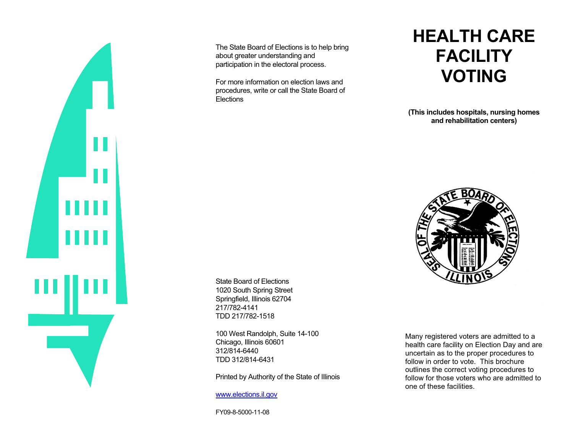

The State Board of Elections is to help bring about greater understanding and participation in the electoral process.

For more information on election laws and procedures, write or call the State Board of **Elections** 

## **HEALTH CARE FACILITYVOTING**

**(This includes hospitals, nursing homes and rehabilitation centers)** 



State Board of Elections 1020 South Spring Street Springfield, Illinois 62704 217/782-4141 TDD 217/782-1518

100 West Randolph, Suite 14-100 Chicago, Illinois 60601 312/814-6440 TDD 312/814-6431

Printed by Authority of the State of Illinois

www.elections.il.gov

FY09-8-5000-11-08

Many registered voters are admitted to a health care facility on Election Day and are uncertain as to the proper procedures to follow in order to vote. This brochure outlines the correct voting procedures to follow for those voters who are admitted to one of these facilities.